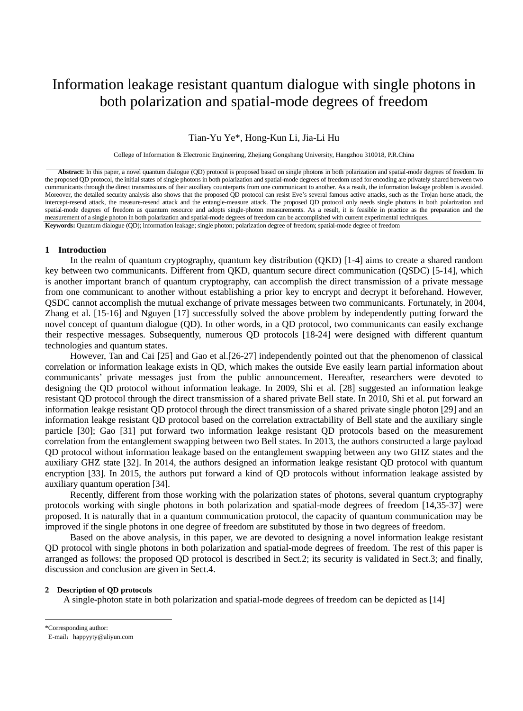# Information leakage resistant quantum dialogue with single photons in both polarization and spatial-mode degrees of freedom

Tian-Yu Ye\*, Hong-Kun Li, Jia-Li Hu

College of Information & Electronic Engineering, Zhejiang Gongshang University, Hangzhou 310018, P.R.China

**Abstract:** In this paper, a novel quantum dialogue (QD) protocol is proposed based on single photons in both polarization and spatial-mode degrees of freedom. In the proposed QD protocol, the initial states of single photons in both polarization and spatial-mode degrees of freedom used for encoding are privately shared between two communicants through the direct transmissions of their auxiliary counterparts from one communicant to another. As a result, the information leakage problem is avoided. Moreover, the detailed security analysis also shows that the proposed QD protocol can resist Eve's several famous active attacks, such as the Trojan horse attack, the intercept-resend attack, the measure-resend attack and the entangle-measure attack. The proposed QD protocol only needs single photons in both polarization and spatial-mode degrees of freedom as quantum resource and adopts single-photon measurements. As a result, it is feasible in practice as the preparation and the measurement of a single photon in both polarization and spatial-mode degrees of freedom can be accomplished with current experimental techniques. **Keywords:** Quantum dialogue (QD); information leakage; single photon; polarization degree of freedom; spatial-mode degree of freedom

### **1 Introduction**

In the realm of quantum cryptography, quantum key distribution (QKD) [1-4] aims to create a shared random key between two communicants. Different from QKD, quantum secure direct communication (QSDC) [5-14], which is another important branch of quantum cryptography, can accomplish the direct transmission of a private message from one communicant to another without establishing a prior key to encrypt and decrypt it beforehand. However, QSDC cannot accomplish the mutual exchange of private messages between two communicants. Fortunately, in 2004, Zhang et al. [15-16] and Nguyen [17] successfully solved the above problem by independently putting forward the novel concept of quantum dialogue (QD). In other words, in a QD protocol, two communicants can easily exchange their respective messages. Subsequently, numerous QD protocols [18-24] were designed with different quantum technologies and quantum states.

However, Tan and Cai [25] and Gao et al.[26-27] independently pointed out that the phenomenon of classical correlation or information leakage exists in QD, which makes the outside Eve easily learn partial information about communicants' private messages just from the public announcement. Hereafter, researchers were devoted to designing the QD protocol without information leakage. In 2009, Shi et al. [28] suggested an information leakge resistant QD protocol through the direct transmission of a shared private Bell state. In 2010, Shi et al. put forward an information leakge resistant QD protocol through the direct transmission of a shared private single photon [29] and an information leakge resistant QD protocol based on the correlation extractability of Bell state and the auxiliary single particle [30]; Gao [31] put forward two information leakge resistant QD protocols based on the measurement correlation from the entanglement swapping between two Bell states. In 2013, the authors constructed a large payload QD protocol without information leakage based on the entanglement swapping between any two GHZ states and the auxiliary GHZ state [32]. In 2014, the authors designed an information leakge resistant QD protocol with quantum encryption [33]. In 2015, the authors put forward a kind of QD protocols without information leakage assisted by auxiliary quantum operation [34].

Recently, different from those working with the polarization states of photons, several quantum cryptography protocols working with single photons in both polarization and spatial-mode degrees of freedom [14,35-37] were proposed. It is naturally that in a quantum communication protocol, the capacity of quantum communication may be improved if the single photons in one degree of freedom are substituted by those in two degrees of freedom.

Based on the above analysis, in this paper, we are devoted to designing a novel information leakge resistant QD protocol with single photons in both polarization and spatial-mode degrees of freedom. The rest of this paper is arranged as follows: the proposed QD protocol is described in Sect.2; its security is validated in Sect.3; and finally, discussion and conclusion are given in Sect.4.

#### **2 Description of QD protocols**

A single-photon state in both polarization and spatial-mode degrees of freedom can be depicted as [14]

<sup>\*</sup>Corresponding author:

E-mail: happyyty@aliyun.com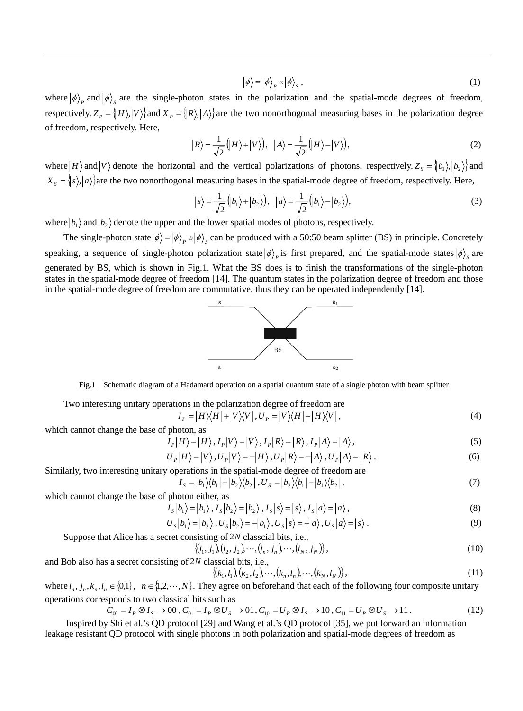$$
|\phi\rangle = |\phi\rangle_P \otimes |\phi\rangle_S , \qquad (1)
$$

where  $|\phi\rangle$ <sub>p</sub> and  $|\phi\rangle$ <sub>s</sub> are the single-photon states in the polarization and the spatial-mode degrees of freedom, respectively.  $Z_p = \{H\}, |V\rangle\}$  and  $X_p = \{R\}, |A\rangle\}$  are the two nonorthogonal measuring bases in the polarization degree of freedom, respectively. Here,

$$
|R\rangle = \frac{1}{\sqrt{2}}\big(|H\rangle + |V\rangle\big), \ \ |A\rangle = \frac{1}{\sqrt{2}}\big(|H\rangle - |V\rangle\big),\tag{2}
$$

where  $|H\rangle$  and  $|V\rangle$  denote the horizontal and the vertical polarizations of photons, respectively.  $Z_s = \{b_1\}, |b_2\rangle\}$  and  $X_s = \{s\}$ ,  $|a\rangle$  are the two nonorthogonal measuring bases in the spatial-mode degree of freedom, respectively. Here,

$$
|s\rangle = \frac{1}{\sqrt{2}} (b_1\rangle + |b_2\rangle), \quad |a\rangle = \frac{1}{\sqrt{2}} (b_1\rangle - |b_2\rangle),
$$
 (3)

where  $|b_1\rangle$  and  $|b_2\rangle$  denote the upper and the lower spatial modes of photons, respectively.

The single-photon state  $|\phi\rangle = |\phi\rangle$ <sub>p</sub>  $\otimes |\phi\rangle$ <sub>s</sub> can be produced with a 50:50 beam splitter (BS) in principle. Concretely speaking, a sequence of single-photon polarization state  $|\phi\rangle_p$  is first prepared, and the spatial-mode states  $|\phi\rangle_s$  are generated by BS, which is shown in Fig.1. What the BS does is to finish the transformations of the single-photon states in the spatial-mode degree of freedom [14]. The quantum states in the polarization degree of freedom and those in the spatial-mode degree of freedom are commutative, thus they can be operated independently [14].



Fig.1 Schematic diagram of a Hadamard operation on a spatial quantum state of a single photon with beam splitter

Two interesting unitary operations in the polarization degree of freedom are

$$
I_{P} = |H\rangle\langle H| + |V\rangle\langle V|, U_{P} = |V\rangle\langle H| - |H\rangle\langle V|, \tag{4}
$$

which cannot change the base of photon, as

$$
I_{P}|H\rangle = |H\rangle, I_{P}|V\rangle = |V\rangle, I_{P}|R\rangle = |R\rangle, I_{P}|A\rangle = |A\rangle,
$$
\n(5)

$$
U_{P}|H\rangle = |V\rangle, U_{P}|V\rangle = -|H\rangle, U_{P}|R\rangle = -|A\rangle, U_{P}|A\rangle = |R\rangle.
$$
 (6)

Similarly, two interesting unitary operations in the spatial-mode degree of freedom are

$$
I_s = |b_1| \langle b_1| + |b_2| \langle b_2|, U_s = |b_2| \langle b_1| - |b_1| \langle b_2|,
$$
\n(7)

which cannot change the base of photon either, as

$$
s|b_1\rangle = |b_1\rangle, I_s|b_2\rangle = |b_2\rangle, I_s|s\rangle = |s\rangle, I_s|a\rangle = |a\rangle,
$$
\n(8)

$$
U_{S}|b_{1}\rangle=|b_{2}\rangle, U_{S}|b_{2}\rangle=-|b_{1}\rangle, U_{S}|s\rangle=-|a\rangle, U_{S}|a\rangle=|s\rangle.
$$
\n(9)

Suppose that Alice has a secret consisting of 2*N* classcial bits, i.e.,

*I*

$$
\{(i_1, j_1), (i_2, j_2), \cdots, (i_n, j_n), \cdots, (i_N, j_N)\},\tag{10}
$$

classcial bits, i.e., 
$$
(x, y)
$$
  $(y, y)$   $(y, y)$   $(y, y)$   $(y, y)$ 

where 
$$
i_n, j_n, k_n, l_n \in \{0,1\}
$$
,  $n \in \{1,2,\dots,N\}$ . They agree on beforehand that each of the following four composite unitary

operations corresponds to two classical bits such as

and Bob also has a secret consisting of 2*N*

$$
C_{00} = I_P \otimes I_S \to 00 \,, C_{01} = I_P \otimes U_S \to 01 \,, C_{10} = U_P \otimes I_S \to 10 \,, C_{11} = U_P \otimes U_S \to 11 \,. \tag{12}
$$

Inspired by Shi et al.'s QD protocol [29] and Wang et al.'s QD protocol [35], we put forward an information leakage resistant QD protocol with single photons in both polarization and spatial-mode degrees of freedom as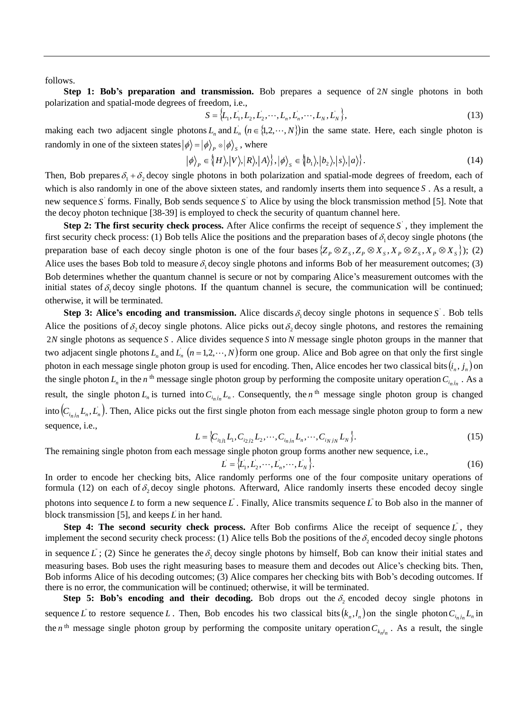follows.

**Step 1: Bob's preparation and transmission.** Bob prepares a sequence of 2*N* single photons in both polarization and spatial-mode degrees of freedom, i.e.,

$$
S = \{L_1, L_1, L_2, L_2, \cdots, L_n, L_n, \cdots, L_N, L_N\},
$$
\n(13)

making each two adjacent single photons  $L_n$  and  $L_n$   $(n \in \{1,2,\dots,N\})$  in the same state. Here, each single photon is randomly in one of the sixteen states  $|\phi\rangle = |\phi\rangle_p \otimes |\phi\rangle_s$ , where

$$
|\phi\rangle_{P} \in \{H\rangle, |V\rangle, |R\rangle, |A\rangle\}, |\phi\rangle_{S} \in \{b_{1}\rangle, |b_{2}\rangle, |s\rangle, |a\rangle\}.
$$
 (14)

Then, Bob prepares  $\delta_1 + \delta_2$  decoy single photons in both polarization and spatial-mode degrees of freedom, each of which is also randomly in one of the above sixteen states, and randomly inserts them into sequence *S* . As a result, a new sequence S' forms. Finally, Bob sends sequence S' to Alice by using the block transmission method [5]. Note that the decoy photon technique [38-39] is employed to check the security of quantum channel here.

**Step 2: The first security check process.** After Alice confirms the receipt of sequence  $S$ , they implement the first security check process: (1) Bob tells Alice the positions and the preparation bases of  $\delta_1$  decoy single photons (the preparation base of each decoy single photon is one of the four bases  $\{Z_P \otimes Z_S, Z_P \otimes X_S, X_P \otimes Z_S, X_P \otimes X_S\}$ ; (2) Alice uses the bases Bob told to measure  $\delta_1$  decoy single photons and informs Bob of her measurement outcomes; (3) Bob determines whether the quantum channel is secure or not by comparing Alice's measurement outcomes with the initial states of  $\delta_1$  decoy single photons. If the quantum channel is secure, the communication will be continued; otherwise, it will be terminated.

**Step 3: Alice's encoding and transmission.** Alice discards  $\delta_1$  decoy single photons in sequence S . Bob tells Alice the positions of  $\delta_2$  decoy single photons. Alice picks out  $\delta_2$  decoy single photons, and restores the remaining 2*N* single photons as sequence *S* . Alice divides sequence *S* into *N* message single photon groups in the manner that two adjacent single photons  $L_n$  and  $L_n$   $(n = 1, 2, \dots, N)$  form one group. Alice and Bob agree on that only the first single photon in each message single photon group is used for encoding. Then, Alice encodes her two classical bits  $(i_n, j_n)$  on the single photon  $L_n$  in the *n*<sup>th</sup> message single photon group by performing the composite unitary operation  $C_{i_nj_n}$ . As a result, the single photon  $L_n$  is turned into  $C_{i_n j_n} L_n$ . Consequently, the *n*<sup>th</sup> message single photon group is changed into  $(C_{i_nj_n}L_n, L_n)$ . Then, Alice picks out the first single photon from each message single photon group to form a new sequence, i.e.,

$$
L = \{C_{i_1j_1}L_1, C_{i_2j_2}L_2, \cdots, C_{i_nj_n}L_n, \cdots, C_{i_Nj_N}L_N\}.
$$
 (15)

The remaining single photon from each message single photon group forms another new sequence, i.e.,

$$
L = \{L_1, L_2, \cdots, L_n, \cdots, L_N\}.
$$
 (16)

In order to encode her checking bits, Alice randomly performs one of the four composite unitary operations of formula (12) on each of  $\delta_2$  decoy single photons. Afterward, Alice randomly inserts these encoded decoy single photons into sequence L to form a new sequence L<sup>'</sup>. Finally, Alice transmits sequence L<sup>'</sup> to Bob also in the manner of block transmission [5], and keeps  $\overline{L}$  in her hand.

**Step 4: The second security check process.** After Bob confirms Alice the receipt of sequence  $\vec{L}$ , they implement the second security check process: (1) Alice tells Bob the positions of the  $\delta_2$  encoded decoy single photons in sequence L<sup> $\dot{L}$ </sup>; (2) Since he generates the  $\delta_2$  decoy single photons by himself, Bob can know their initial states and measuring bases. Bob uses the right measuring bases to measure them and decodes out Alice's checking bits. Then, Bob informs Alice of his decoding outcomes; (3) Alice compares her checking bits with Bob's decoding outcomes. If there is no error, the communication will be continued; otherwise, it will be terminated.

**Step 5: Bob's encoding and their decoding.** Bob drops out the  $\delta_2$  encoded decoy single photons in sequence *L*<sup>'</sup> to restore sequence *L*. Then, Bob encodes his two classical bits  $(k_n, l_n)$  on the single photon  $C_{i_n j_n} L_n$  in the *n*<sup>th</sup> message single photon group by performing the composite unitary operation  $C_{k_n l_n}$ . As a result, the single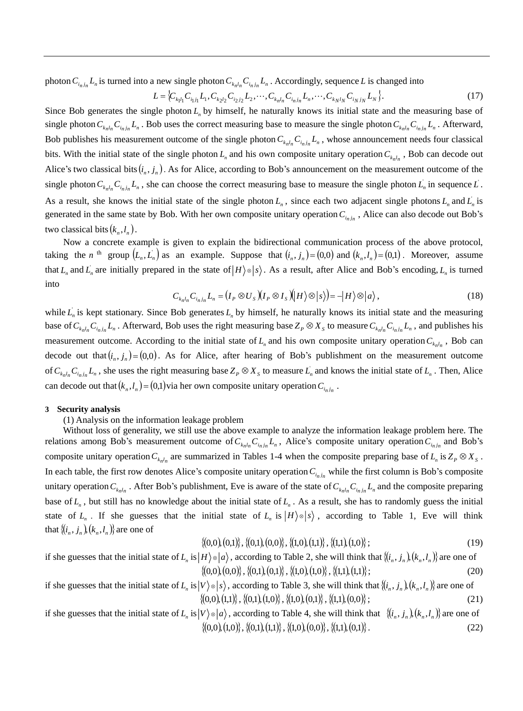photon  $C_{i_nj_n}L_n$  is turned into a new single photon  $C_{k_nl_n}C_{i_nj_n}L_n$ . Accordingly, sequence L is changed into

$$
L = \{C_{k_1 l_1} C_{i_1 j_1} L_1, C_{k_2 l_2} C_{i_2 j_2} L_2, \cdots, C_{k_n l_n} C_{i_n j_n} L_n, \cdots, C_{k_N l_N} C_{i_N j_N} L_N\}.
$$
\n(17)

Since Bob generates the single photon  $L<sub>n</sub>$  by himself, he naturally knows its initial state and the measuring base of single photon  $C_{k_n l_n} C_{i_n j_n} L_n$ . Bob uses the correct measuring base to measure the single photon  $C_{k_n l_n} C_{i_n j_n} L_n$ . Afterward, Bob publishes his measurement outcome of the single photon  $C_{k_n l_n} C_{i_n j_n} L_n$ , whose announcement needs four classical bits. With the initial state of the single photon  $L_n$  and his own composite unitary operation  $C_{k_n l_n}$ , Bob can decode out Alice's two classical bits  $(i_n, j_n)$ . As for Alice, according to Bob's announcement on the measurement outcome of the single photon  $C_{k_n l_n} C_{i_n j_n} L_n$ , she can choose the correct measuring base to measure the single photon  $L_n$  in sequence  $L$ . As a result, she knows the initial state of the single photon  $L_n$ , since each two adjacent single photons  $L_n$  and  $L_n$  is generated in the same state by Bob. With her own composite unitary operation  $C_{i_n j_n}$ , Alice can also decode out Bob's two classical bits  $(k_n, l_n)$ .

Now a concrete example is given to explain the bidirectional communication process of the above protocol, taking the *n*<sup>th</sup> group  $(L_n, L_n)$  as an example. Suppose that  $(i_n, j_n) = (0,0)$  and  $(k_n, l_n) = (0,1)$ . Moreover, assume that  $L_n$  and  $L_n$  are initially prepared in the state of  $|H\rangle \otimes |s\rangle$ . As a result, after Alice and Bob's encoding,  $L_n$  is turned into

$$
C_{k_n l_n} C_{i_n j_n} L_n = (I_P \otimes U_S)(I_P \otimes I_S)(H) \otimes |S\rangle = -|H\rangle \otimes |a\rangle, \qquad (18)
$$

while  $L_n$  is kept stationary. Since Bob generates  $L_n$  by himself, he naturally knows its initial state and the measuring base of  $C_{k_n l_n} C_{i_n j_n} L_n$ . Afterward, Bob uses the right measuring base  $Z_p \otimes X_s$  to measure  $C_{k_n l_n} C_{i_n j_n} L_n$ , and publishes his measurement outcome. According to the initial state of  $L_n$  and his own composite unitary operation  $C_{k_n l_n}$ , Bob can decode out that  $(i_n, j_n) = (0, 0)$ . As for Alice, after hearing of Bob's publishment on the measurement outcome of  $C_{k_n l_n} C_{i_n j_n} L_n$ , she uses the right measuring base  $Z_p \otimes X_s$  to measure  $L_n$  and knows the initial state of  $L_n$ . Then, Alice can decode out that  $(k_n, l_n) = (0, 1)$  via her own composite unitary operation  $C_{i_n j_n}$ .

# **3 Security analysis**

(1) Analysis on the information leakage problem

Without loss of generality, we still use the above example to analyze the information leakage problem here. The relations among Bob's measurement outcome of  $C_{k_n l_n} C_{i_n j_n} L_n$ , Alice's composite unitary operation  $C_{i_n j_n}$  and Bob's composite unitary operation  $C_{k_n l_n}$  are summarized in Tables 1-4 when the composite preparing base of  $L_n$  is  $Z_p \otimes X_s$ . In each table, the first row denotes Alice's composite unitary operation  $C_{i_nj_n}$  while the first column is Bob's composite unitary operation  $C_{k_n l_n}$ . After Bob's publishment, Eve is aware of the state of  $C_{k_n l_n} C_{i_n j_n} L_n$  and the composite preparing base of  $L_n$ , but still has no knowledge about the initial state of  $L_n$ . As a result, she has to randomly guess the initial state of  $L_n$ . If she guesses that the initial state of  $L_n$  is  $|H\rangle \otimes |s\rangle$ , according to Table 1, Eve will think that  $\{(i_n, j_n), (k_n, l_n)\}$  are one of

$$
\{(0,0),(0,1)\},\{(0,1),(0,0)\},\{(1,0),(1,1)\},\{(1,1),(1,0)\};\tag{19}
$$

if she guesses that the initial state of  $L_n$  is  $|H\rangle \otimes |a\rangle$ , according to Table 2, she will think that  $\{(i_n, j_n)(k_n, l_n)\}$  are one of  $\{(0,0),(0,0)\},\{(0,1),(0,1)\},\{(1,0),(1,0)\},\{(1,1),(1,1)\};$  $(20)$ 

if she guesses that the initial state of  $L_n$  is  $|V\rangle \otimes |s\rangle$ , according to Table 3, she will think that  $\{(i_n, j_n)(k_n, l_n)\}$  are one of  $\{(0,0),(1,1)\},\{(0,1),(1,0)\},\{(1,0),(0,1)\},\{(1,1),(0,0)\};$  $(21)$ 

if she guesses that the initial state of  $L_n$  is  $|V\rangle \otimes |a\rangle$ , according to Table 4, she will think that  $\{(\dot{i}_n, \dot{j}_n)(k_n, l_n)\}$  are one of  $\{(0,0),(1,0)\},\{(0,1),(1,1)\},\{(1,0),(0,0)\},\{(1,1),(0,1)\}.$  (22)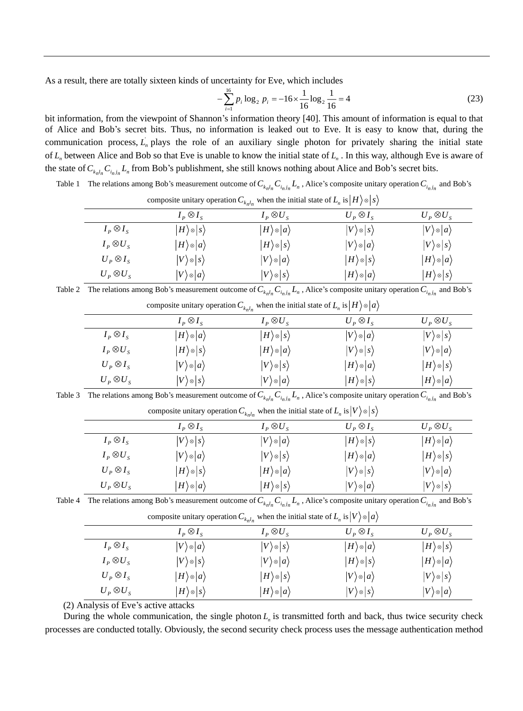As a result, there are totally sixteen kinds of uncertainty for Eve, which includes

$$
-\sum_{i=1}^{16} p_i \log_2 p_i = -16 \times \frac{1}{16} \log_2 \frac{1}{16} = 4
$$
 (23)

bit information, from the viewpoint of Shannon's information theory [40]. This amount of information is equal to that of Alice and Bob's secret bits. Thus, no information is leaked out to Eve. It is easy to know that, during the communication process,  $L<sub>n</sub>$  plays the role of an auxiliary single photon for privately sharing the initial state of *L n* between Alice and Bob so that Eve is unable to know the initial state of *L n* . In this way, although Eve is aware of the state of  $C_{k_n l_n} C_{i_n j_n} L_n$  from Bob's publishment, she still knows nothing about Alice and Bob's secret bits.

Table 1 The relations among Bob's measurement outcome of  $C_{k_n l_n} C_{i_n j_n} L_n$ , Alice's composite unitary operation  $C_{i_n j_n}$  and Bob's

|                   |                               | $\frac{1}{2}$                 |                               |                               |
|-------------------|-------------------------------|-------------------------------|-------------------------------|-------------------------------|
|                   | $I_P \otimes I_S$             | $I_P \otimes U_S$             | $U_P \otimes I_S$             | $U_P \otimes U_S$             |
| $I_P \otimes I_S$ | $H\rangle \otimes  s\rangle$  | $ H\rangle \otimes  a\rangle$ | $ V\rangle \otimes  S\rangle$ | $ V\rangle \otimes  a\rangle$ |
| $I_P \otimes U_S$ | $ H\rangle \otimes  a\rangle$ | $ H\rangle \otimes  S\rangle$ | $ V\rangle \otimes  a\rangle$ | $ V\rangle$ @ $ s\rangle$     |
| $U_P \otimes I_S$ | $ V\rangle \otimes  S\rangle$ | $ V\rangle \otimes  a\rangle$ | $ H\rangle \otimes  S\rangle$ | $ H\rangle \otimes  a\rangle$ |
| $U_P \otimes U_S$ | $ V\rangle \otimes  a\rangle$ | $ V\rangle$ @ $ s\rangle$     | $ H\rangle \otimes  a\rangle$ | $ H\rangle \otimes  S\rangle$ |

composite unitary operation  $C_{k_n l_n}$  when the initial state of  $L_n$  is  $|H\rangle \otimes |s|$ 

Table 2 The relations among Bob's measurement outcome of  $C_{k_n l_n} C_{i_n j_n} L_n$ , Alice's composite unitary operation  $C_{i_n j_n}$  and Bob's

|                   | composite unitary operation $C_{k_n l_n}$ when the initial state of $L_n$ is $ H\rangle \otimes  a\rangle$ |                               |                               |                               |  |
|-------------------|------------------------------------------------------------------------------------------------------------|-------------------------------|-------------------------------|-------------------------------|--|
|                   | $I_P \otimes I_S$                                                                                          | $I_P \otimes U_S$             | $U_P \otimes I_S$             | $U_P \otimes U_S$             |  |
| $I_P \otimes I_S$ | $ H\rangle \otimes  a\rangle$                                                                              | $ H\rangle \otimes  S\rangle$ | $ V\rangle \otimes  a\rangle$ | $ V\rangle \otimes  S\rangle$ |  |
| $I_P \otimes U_S$ | $ H\rangle \otimes  S\rangle$                                                                              | $ H\rangle \otimes  a\rangle$ | $ V\rangle \otimes  S\rangle$ | $ V\rangle \otimes  a\rangle$ |  |
| $U_P \otimes I_S$ | $ V\rangle \otimes  a\rangle$                                                                              | $ V\rangle \otimes  S\rangle$ | $ H\rangle \otimes  a\rangle$ | $ H\rangle \otimes  S\rangle$ |  |
| $U_P \otimes U_S$ | $ V\rangle \otimes  S\rangle$                                                                              | $ V\rangle \otimes  a\rangle$ | $ H\rangle \otimes  S\rangle$ | $ H\rangle \otimes  a\rangle$ |  |
|                   |                                                                                                            |                               |                               |                               |  |

Table 3 The relations among Bob's measurement outcome of  $C_{k_n l_n} C_{i_n j_n} L_n$ , Alice's composite unitary operation  $C_{i_n j_n}$  and Bob's

|                   | composite unitary operation $C_{k_n l_n}$ when the initial state of $L_n$ is $ V\rangle \otimes  s\rangle$ |                               |                               |                               |  |
|-------------------|------------------------------------------------------------------------------------------------------------|-------------------------------|-------------------------------|-------------------------------|--|
|                   | $I_P \otimes I_S$                                                                                          | $I_P \otimes U_S$             | $U_P \otimes I_S$             | $U_P \otimes U_S$             |  |
| $I_P \otimes I_S$ | $ V\rangle \otimes  S\rangle$                                                                              | $ V\rangle \otimes  a\rangle$ | $ H\rangle \otimes  S\rangle$ | $ H\rangle \otimes  a\rangle$ |  |
| $I_P \otimes U_S$ | $ V\rangle \otimes  a\rangle$                                                                              | $ V\rangle \otimes  S\rangle$ | $ H\rangle \otimes  a\rangle$ | $ H\rangle \otimes  S\rangle$ |  |
| $U_P \otimes I_S$ | $ H\rangle \otimes  S\rangle$                                                                              | $ H\rangle \otimes  a\rangle$ | $ V\rangle \otimes  S\rangle$ | $ V\rangle \otimes  a\rangle$ |  |
| $U_P \otimes U_S$ | $ H\rangle \otimes  a\rangle$                                                                              | $ H\rangle \otimes  S\rangle$ | $ V\rangle \otimes  a\rangle$ | $ V\rangle$ @ $ s\rangle$     |  |

Table 4 The relations among Bob's measurement outcome of  $C_{k_n l_n} C_{i_n j_n} L_n$ , Alice's composite unitary operation  $C_{i_n j_n}$  and Bob's

| composite unitary operation $C_{knln}$ when the finitial state of $L_n$ is $ V  \otimes  u $ |                               |                               |                               |                               |
|----------------------------------------------------------------------------------------------|-------------------------------|-------------------------------|-------------------------------|-------------------------------|
|                                                                                              | $I_P \otimes I_S$             | $I_P \otimes U_S$             | $U_P \otimes I_S$             | $U_P \otimes U_S$             |
| $I_P \otimes I_S$                                                                            | $ V\rangle \otimes  a\rangle$ | $ V\rangle \otimes  S\rangle$ | $ H\rangle \otimes  a\rangle$ | $ H\rangle \otimes  S\rangle$ |
| $I_P \otimes U_S$                                                                            | $ V\rangle \otimes  S\rangle$ | $ V\rangle \otimes  a\rangle$ | $ H\rangle \otimes  S\rangle$ | $ H\rangle \otimes  a\rangle$ |
| $U_P \otimes I_S$                                                                            | $ H\rangle \otimes  a\rangle$ | $ H\rangle \otimes  S\rangle$ | $ V\rangle \otimes  a\rangle$ | $ V\rangle \otimes  S\rangle$ |
| $U_P \otimes U_S$                                                                            | $ H\rangle \otimes  S\rangle$ | $ H\rangle \otimes  a\rangle$ | $ V\rangle \otimes  S\rangle$ | $ V\rangle \otimes  a\rangle$ |

composite unitary operation  $C_{knln}$  when the initial state of  $L_n$  is  $|V\rangle \otimes |a|$ 

(2) Analysis of Eve's active attacks

During the whole communication, the single photon  $L<sub>n</sub>$  is transmitted forth and back, thus twice security check processes are conducted totally. Obviously, the second security check process uses the message authentication method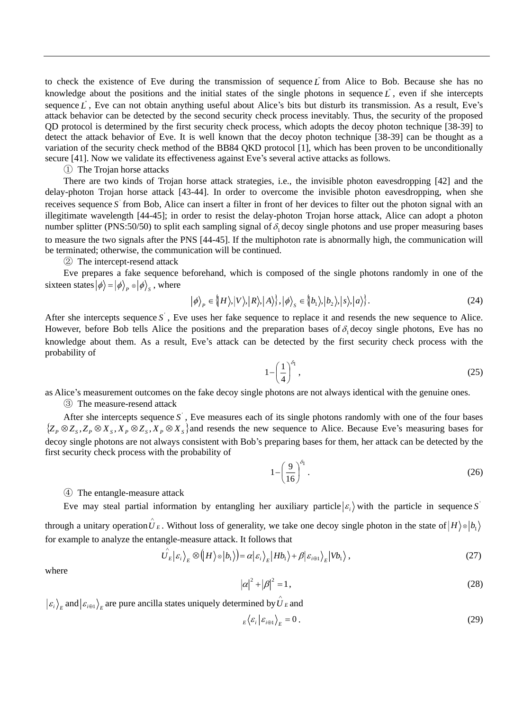to check the existence of Eve during the transmission of sequence  $\vec{L}$  from Alice to Bob. Because she has no knowledge about the positions and the initial states of the single photons in sequence  $\vec{L}$ , even if she intercepts sequence L<sup>'</sup>, Eve can not obtain anything useful about Alice's bits but disturb its transmission. As a result, Eve's attack behavior can be detected by the second security check process inevitably. Thus, the security of the proposed QD protocol is determined by the first security check process, which adopts the decoy photon technique [38-39] to detect the attack behavior of Eve. It is well known that the decoy photon technique [38-39] can be thought as a variation of the security check method of the BB84 QKD protocol [1], which has been proven to be unconditionally secure [41]. Now we validate its effectiveness against Eve's several active attacks as follows.

### ① The Trojan horse attacks

There are two kinds of Trojan horse attack strategies, i.e., the invisible photon eavesdropping [42] and the delay-photon Trojan horse attack [43-44]. In order to overcome the invisible photon eavesdropping, when she receives sequence S from Bob, Alice can insert a filter in front of her devices to filter out the photon signal with an illegitimate wavelength [44-45]; in order to resist the delay-photon Trojan horse attack, Alice can adopt a photon number splitter (PNS:50/50) to split each sampling signal of  $\delta_1$  decoy single photons and use proper measuring bases to measure the two signals after the PNS [44-45]. If the multiphoton rate is abnormally high, the communication will be terminated; otherwise, the communication will be continued.

② The intercept-resend attack

Eve prepares a fake sequence beforehand, which is composed of the single photons randomly in one of the sixteen states  $\ket{\phi} = \ket{\phi}_P \otimes \ket{\phi}_S$  , where

$$
|\phi\rangle_{P} \in \{H\rangle, |V\rangle, |R\rangle, |A\rangle\}, |\phi\rangle_{S} \in \{b_{1}\rangle, |b_{2}\rangle, |s\rangle, |a\rangle\}.
$$
 (24)

After she intercepts sequence  $S$ , Eve uses her fake sequence to replace it and resends the new sequence to Alice. However, before Bob tells Alice the positions and the preparation bases of  $\delta_1$  decoy single photons, Eve has no knowledge about them. As a result, Eve's attack can be detected by the first security check process with the probability of

$$
1 - \left(\frac{1}{4}\right)^{\delta_1},\tag{25}
$$

as Alice's measurement outcomes on the fake decoy single photons are not always identical with the genuine ones.

# ③ The measure-resend attack

After she intercepts sequence S<sup>'</sup>, Eve measures each of its single photons randomly with one of the four bases  $\{Z_P \otimes Z_S, Z_P \otimes X_S, X_P \otimes Z_S, X_P \otimes X_S\}$  and resends the new sequence to Alice. Because Eve's measuring bases for decoy single photons are not always consistent with Bob's preparing bases for them, her attack can be detected by the first security check process with the probability of

$$
1 - \left(\frac{9}{16}\right)^{\delta_1}.\tag{26}
$$

# ④ The entangle-measure attack

Eve may steal partial information by entangling her auxiliary particle  $|\varepsilon_i\rangle$  with the particle in sequence S through a unitary operation  $\hat{U}_E$ . Without loss of generality, we take one decoy single photon in the state of  $|H\rangle \otimes |b_1|$ for example to analyze the entangle-measure attack. It follows that

$$
\hat{U_{E}}|\varepsilon_{i}\rangle_{E}\otimes\left(H\rangle\otimes|b_{1}\rangle\right)=\alpha|\varepsilon_{i}\rangle_{E}|Hb_{1}\rangle+\beta|\varepsilon_{i\oplus1}\rangle_{E}|Vb_{1}\rangle, \qquad (27)
$$

where

$$
|\alpha|^2 + |\beta|^2 = 1,\tag{28}
$$

 $\langle \varepsilon_i \rangle_{E}$  and  $|\varepsilon_{i \oplus 1} \rangle_{E}$  are pure ancilla states uniquely determined by  $\hat{U}_E$  and

$$
E_{E} \langle \mathcal{E}_{i} | \mathcal{E}_{i \oplus 1} \rangle_{E} = 0.
$$
 (29)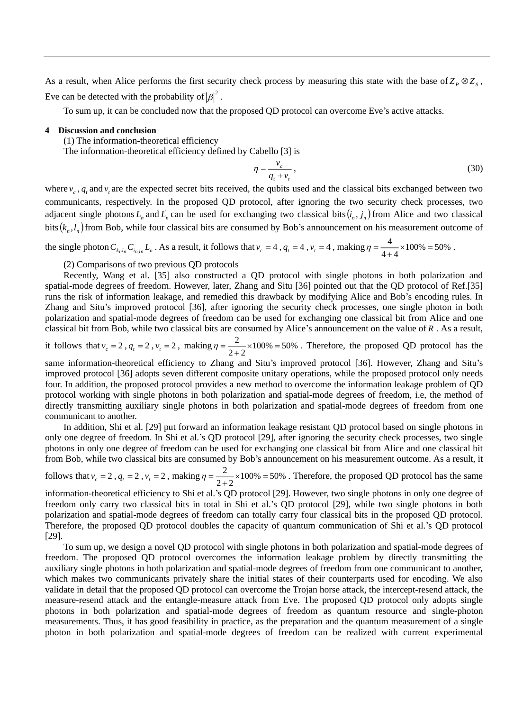As a result, when Alice performs the first security check process by measuring this state with the base of  $Z_P \otimes Z_S$ , Eve can be detected with the probability of  $|\beta|^2$ .

To sum up, it can be concluded now that the proposed QD protocol can overcome Eve's active attacks.

# **4 Discussion and conclusion**

(1) The information-theoretical efficiency

The information-theoretical efficiency defined by Cabello [3] is

$$
\eta = \frac{v_c}{q_t + v_t},\tag{30}
$$

where  $v_c$ ,  $q_t$  and  $v_t$  are the expected secret bits received, the qubits used and the classical bits exchanged between two communicants, respectively. In the proposed QD protocol, after ignoring the two security check processes, two adjacent single photons  $L_n$  and  $L_n$  can be used for exchanging two classical bits  $(i_n, j_n)$  from Alice and two classical bits  $(k_n, l_n)$  from Bob, while four classical bits are consumed by Bob's announcement on his measurement outcome of

the single photon  $C_{k_n l_n} C_{i_n j_n} L_n$ . As a result, it follows that  $v_c = 4$ ,  $q_t = 4$ ,  $v_t = 4$ , making  $\eta = \frac{1}{4+4} \times 100\% = 50\%$  $\eta = \frac{4}{4+4} \times 100\% = 50\%$ .

(2) Comparisons of two previous QD protocols

Recently, Wang et al. [35] also constructed a QD protocol with single photons in both polarization and spatial-mode degrees of freedom. However, later, Zhang and Situ [36] pointed out that the QD protocol of Ref.[35] runs the risk of information leakage, and remedied this drawback by modifying Alice and Bob's encoding rules. In Zhang and Situ's improved protocol [36], after ignoring the security check processes, one single photon in both polarization and spatial-mode degrees of freedom can be used for exchanging one classical bit from Alice and one classical bit from Bob, while two classical bits are consumed by Alice's announcement on the value of *R* . As a result,

it follows that  $v_c = 2$ ,  $q_t = 2$ ,  $v_t = 2$ , making  $\eta = \frac{2}{2+2} \times 100\% = 50\%$  $\eta = \frac{2}{2+2} \times 100\% = 50\%$ . Therefore, the proposed QD protocol has the

same information-theoretical efficiency to Zhang and Situ's improved protocol [36]. However, Zhang and Situ's improved protocol [36] adopts seven different composite unitary operations, while the proposed protocol only needs four. In addition, the proposed protocol provides a new method to overcome the information leakage problem of QD protocol working with single photons in both polarization and spatial-mode degrees of freedom, i.e, the method of directly transmitting auxiliary single photons in both polarization and spatial-mode degrees of freedom from one communicant to another.

In addition, Shi et al. [29] put forward an information leakage resistant QD protocol based on single photons in only one degree of freedom. In Shi et al.'s QD protocol [29], after ignoring the security check processes, two single photons in only one degree of freedom can be used for exchanging one classical bit from Alice and one classical bit from Bob, while two classical bits are consumed by Bob's announcement on his measurement outcome. As a result, it

follows that  $v_c = 2$ ,  $q_t = 2$ ,  $v_t = 2$ , making  $\eta = \frac{2}{2+2} \times 100\% = 50\%$  $\eta = \frac{2}{2+2} \times 100\% = 50\%$ . Therefore, the proposed QD protocol has the same

information-theoretical efficiency to Shi et al.'s QD protocol [29]. However, two single photons in only one degree of freedom only carry two classical bits in total in Shi et al.'s QD protocol [29], while two single photons in both polarization and spatial-mode degrees of freedom can totally carry four classical bits in the proposed QD protocol. Therefore, the proposed QD protocol doubles the capacity of quantum communication of Shi et al.'s QD protocol [29].

To sum up, we design a novel QD protocol with single photons in both polarization and spatial-mode degrees of freedom. The proposed QD protocol overcomes the information leakage problem by directly transmitting the auxiliary single photons in both polarization and spatial-mode degrees of freedom from one communicant to another, which makes two communicants privately share the initial states of their counterparts used for encoding. We also validate in detail that the proposed QD protocol can overcome the Trojan horse attack, the intercept-resend attack, the measure-resend attack and the entangle-measure attack from Eve. The proposed QD protocol only adopts single photons in both polarization and spatial-mode degrees of freedom as quantum resource and single-photon measurements. Thus, it has good feasibility in practice, as the preparation and the quantum measurement of a single photon in both polarization and spatial-mode degrees of freedom can be realized with current experimental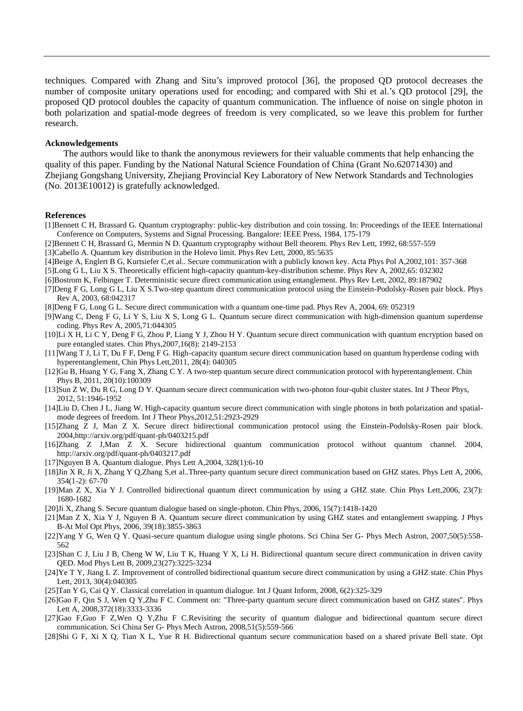techniques. Compared with Zhang and Situ's improved protocol [36], the proposed QD protocol decreases the number of composite unitary operations used for encoding; and compared with Shi et al.'s QD protocol [29], the proposed QD protocol doubles the capacity of quantum communication. The influence of noise on single photon in both polarization and spatial-mode degrees of freedom is very complicated, so we leave this problem for further research.

## **Acknowledgements**

The authors would like to thank the anonymous reviewers for their valuable comments that help enhancing the quality of this paper. Funding by the National Natural Science Foundation of China (Grant No.62071430) and Zhejiang Gongshang University, Zhejiang Provincial Key Laboratory of New Network Standards and Technologies (No. 2013E10012) is gratefully acknowledged.

# **References**

- [1]Bennett C H, Brassard G. Quantum cryptography: public-key distribution and coin tossing. In: Proceedings of the IEEE International Conference on Computers, Systems and Signal Processing. Bangalore: IEEE Press, 1984, 175-179
- [2]Bennett C H, Brassard G, Mermin N D. Quantum cryptography without Bell theorem. Phys Rev Lett, 1992, 68:557-559

[3]Cabello A. Quantum key distribution in the Holevo limit. Phys Rev Lett, 2000, 85:5635

- [4]Beige A, Englert B G, Kurtsiefer C,et al.. Secure communication with a publicly known key. Acta Phys Pol A,2002,101: 357-368
- [5]Long G L, Liu X S. Theoretically efficient high-capacity quantum-key-distribution scheme. Phys Rev A, 2002,65: 032302
- [6]Bostrom K, Felbinger T. Deterministic secure direct communication using entanglement. Phys Rev Lett, 2002, 89:187902
- [7]Deng F G, Long G L, Liu X S.Two-step quantum direct communication protocol using the Einstein-Podolsky-Rosen pair block. Phys Rev A, 2003, 68:042317

[8]Deng F G, Long G L. Secure direct communication with a quantum one-time pad. Phys Rev A, 2004, 69: 052319

- [9]Wang C, Deng F G, Li Y S, Liu X S, Long G L. Quantum secure direct communication with high-dimension quantum superdense coding. Phys Rev A, 2005,71:044305
- [10]Li X H, Li C Y, Deng F G, Zhou P, Liang Y J, Zhou H Y. Quantum secure direct communication with quantum encryption based on pure entangled states. Chin Phys,2007,16(8): 2149-2153
- [11]Wang T J, Li T, Du F F, Deng F G. High-capacity quantum secure direct communication based on quantum hyperdense coding with hyperentanglement, Chin Phys Lett,2011, 28(4): 040305
- [12]Gu B, Huang Y G, Fang X, Zhang C Y. A two-step quantum secure direct communication protocol with hyperentanglement. Chin Phys B, 2011, 20(10):100309
- [13]Sun Z W, Du R G, Long D Y. Quantum secure direct communication with two-photon four-qubit cluster states. Int J Theor Phys, 2012, 51:1946-1952
- [14]Liu D, Chen J L, Jiang W. High-capacity quantum secure direct communication with single photons in both polarization and spatialmode degrees of freedom. Int J Theor Phys,2012,51:2923-2929
- [15]Zhang Z J, Man Z X. Secure direct bidirectional communication protocol using the Einstein-Podolsky-Rosen pair block. 2004,http://arxiv.org/pdf/quant-ph/0403215.pdf
- [16]Zhang Z J,Man Z X. Secure bidirectional quantum communication protocol without quantum channel. 2004, http://arxiv.org/pdf/quant-ph/0403217.pdf
- [17]Nguyen B A. Quantum dialogue. Phys Lett A,2004, 328(1):6-10
- [18]Jin X R, Ji X, Zhang Y Q,Zhang S,et al..Three-party quantum secure direct communication based on GHZ states. Phys Lett A, 2006, 354(1-2): 67-70
- [19]Man Z X, Xia Y J. Controlled bidirectional quantum direct communication by using a GHZ state. Chin Phys Lett,2006, 23(7): 1680-1682
- [20]Ji X, Zhang S. Secure quantum dialogue based on single-photon. Chin Phys, 2006, 15(7):1418-1420
- [21]Man Z X, Xia Y J, Nguyen B A. Quantum secure direct communication by using GHZ states and entanglement swapping. J Phys B-At Mol Opt Phys, 2006, 39(18):3855-3863
- [22]Yang Y G, Wen Q Y. Quasi-secure quantum dialogue using single photons. Sci China Ser G- Phys Mech Astron, 2007,50(5):558- 562
- [23]Shan C J, Liu J B, Cheng W W, Liu T K, Huang Y X, Li H. Bidirectional quantum secure direct communication in driven cavity QED. Mod Phys Lett B, 2009,23(27):3225-3234
- [24]Ye T Y, Jiang L Z. Improvement of controlled bidirectional quantum secure direct communication by using a GHZ state. Chin Phys Lett, 2013, 30(4):040305
- [25]Tan Y G, Cai Q Y. Classical correlation in quantum dialogue. Int J Quant Inform, 2008, 6(2):325-329
- [26]Gao F, Qin S J, Wen Q Y,Zhu F C. Comment on: "Three-party quantum secure direct communication based on GHZ states". Phys Lett A, 2008,372(18):3333-3336
- [27]Gao F,Guo F Z,Wen Q Y,Zhu F C.Revisiting the security of quantum dialogue and bidirectional quantum secure direct communication. Sci China Ser G- Phys Mech Astron, 2008,51(5):559-566
- [28]Shi G F, Xi X Q, Tian X L, Yue R H. Bidirectional quantum secure communication based on a shared private Bell state. Opt